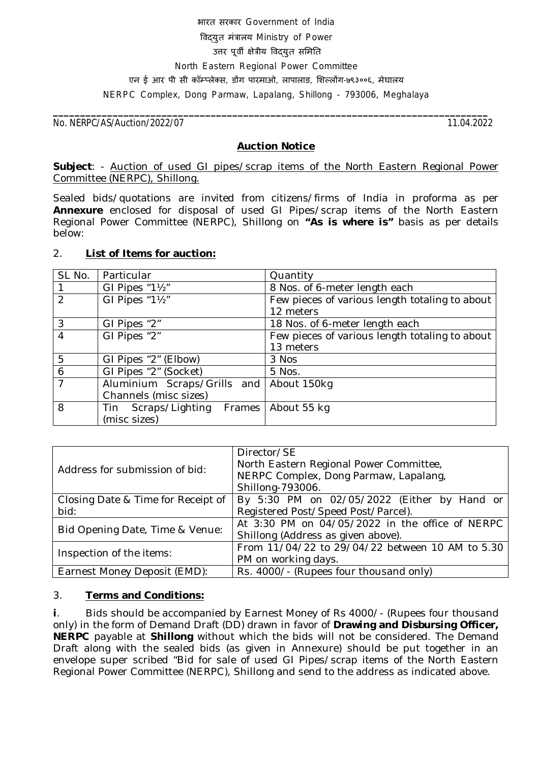# भारत सरकार Government of India विदयत मंत्रालय Ministry of Power उत्तर पूर्वी क्षेत्रीय विदयुत समिति North Eastern Regional Power Committee एन ई आर पी सी कॉम्प्लेक्स, डोंग पारमाओ, लापालाङ, शिल्लोंग-७९३००६, मेघालय NERPC Complex, Dong Parmaw, Lapalang, Shillong - 793006, Meghalaya

No. NERPC/AS/Auction/2022/*07* 11.04.2022

**\_\_\_\_\_\_\_\_\_\_\_\_\_\_\_\_\_\_\_\_\_\_\_\_\_\_\_\_\_\_\_\_\_\_\_\_\_\_\_\_\_\_\_\_\_\_\_\_\_\_\_\_\_\_\_\_\_\_\_\_\_\_\_\_\_\_\_\_\_\_\_\_\_\_\_\_\_\_\_\_**

### **Auction Notice**

**Subject**: - Auction of used GI pipes/scrap items of the North Eastern Regional Power Committee (NERPC), Shillong.

Sealed bids/quotations are invited from citizens/firms of India in proforma as per **Annexure** enclosed for disposal of used GI Pipes/scrap items of the North Eastern Regional Power Committee (NERPC), Shillong on **"As is where is"** basis as per details below:

### 2. **List of Items for auction:**

| SL No.         | Particular                               | Quantity                                       |
|----------------|------------------------------------------|------------------------------------------------|
|                | GI Pipes "11/2"                          | 8 Nos. of 6-meter length each                  |
| $\mathcal{P}$  | GI Pipes "11/2"                          | Few pieces of various length totaling to about |
|                |                                          | 12 meters                                      |
| 3              | GI Pipes "2"                             | 18 Nos. of 6-meter length each                 |
| 4              | GI Pipes $\sqrt[n]{2^n}$                 | Few pieces of various length totaling to about |
|                |                                          | 13 meters                                      |
| 5              | GI Pipes "2" (Elbow)                     | 3 Nos                                          |
| 6              | GI Pipes "2" (Socket)                    | 5 Nos.                                         |
| $\overline{7}$ | Aluminium Scraps/Grills and              | About 150kg                                    |
|                | Channels (misc sizes)                    |                                                |
| 8              | Tin Scraps/Lighting Frames   About 55 kg |                                                |
|                | (misc sizes)                             |                                                |

| Address for submission of bid:             | Director/SE<br>North Eastern Regional Power Committee,<br>NERPC Complex, Dong Parmaw, Lapalang,<br>Shillong-793006. |
|--------------------------------------------|---------------------------------------------------------------------------------------------------------------------|
| Closing Date & Time for Receipt of<br>bid: | By 5:30 PM on 02/05/2022 (Either by Hand or<br>Registered Post/Speed Post/Parcel).                                  |
| Bid Opening Date, Time & Venue:            | At 3:30 PM on 04/05/2022 in the office of NERPC<br>Shillong (Address as given above).                               |
| Inspection of the items:                   | From 11/04/22 to 29/04/22 between 10 AM to 5.30<br>PM on working days.                                              |
| Earnest Money Deposit (EMD):               | Rs. 4000/- (Rupees four thousand only)                                                                              |

## 3. **Terms and Conditions:**

**i**. Bids should be accompanied by Earnest Money of Rs 4000/- (Rupees four thousand only) in the form of Demand Draft (DD) drawn in favor of **Drawing and Disbursing Officer, NERPC** payable at **Shillong** without which the bids will not be considered. The Demand Draft along with the sealed bids (as given in Annexure) should be put together in an envelope super scribed "Bid for sale of used GI Pipes/scrap items of the North Eastern Regional Power Committee (NERPC), Shillong and send to the address as indicated above.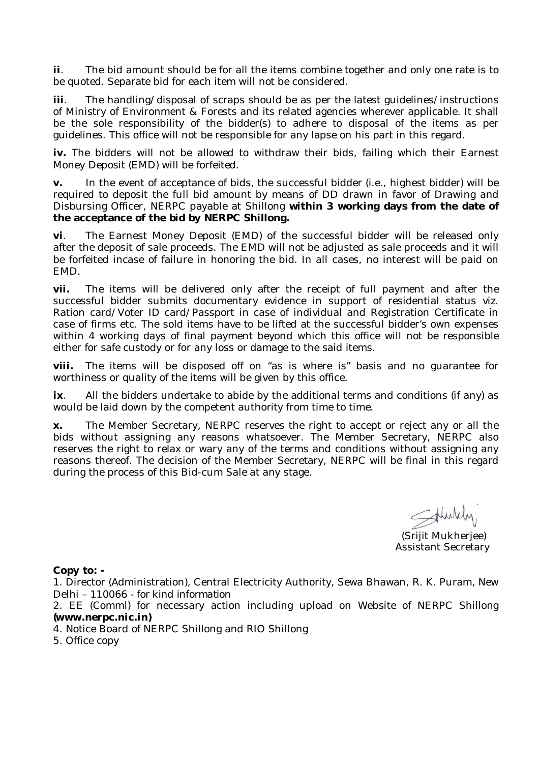**ii**. The bid amount should be for all the items combine together and only one rate is to be quoted. Separate bid for each item will not be considered.

**iii**. The handling/disposal of scraps should be as per the latest guidelines/instructions of Ministry of Environment & Forests and its related agencies wherever applicable. It shall be the sole responsibility of the bidder(s) to adhere to disposal of the items as per guidelines. This office will not be responsible for any lapse on his part in this regard.

**iv.** The bidders will not be allowed to withdraw their bids, failing which their Earnest Money Deposit (EMD) will be forfeited.

**v.** In the event of acceptance of bids, the successful bidder (i.e., highest bidder) will be required to deposit the full bid amount by means of DD drawn in favor of Drawing and Disbursing Officer, NERPC payable at Shillong **within 3 working days from the date of the acceptance of the bid by NERPC Shillong.**

**vi**. The Earnest Money Deposit (EMD) of the successful bidder will be released only after the deposit of sale proceeds. The EMD will not be adjusted as sale proceeds and it will be forfeited incase of failure in honoring the bid. In all cases, no interest will be paid on EMD.

**vii.** The items will be delivered only after the receipt of full payment and after the successful bidder submits documentary evidence in support of residential status viz. Ration card/Voter ID card/Passport in case of individual and Registration Certificate in case of firms etc. The sold items have to be lifted at the successful bidder's own expenses within 4 working days of final payment beyond which this office will not be responsible either for safe custody or for any loss or damage to the said items.

The items will be disposed off on "as is where is" basis and no guarantee for worthiness or quality of the items will be given by this office.

**ix**. All the bidders undertake to abide by the additional terms and conditions (if any) as would be laid down by the competent authority from time to time.

**x.** The Member Secretary, NERPC reserves the right to accept or reject any or all the bids without assigning any reasons whatsoever. The Member Secretary, NERPC also reserves the right to relax or wary any of the terms and conditions without assigning any reasons thereof. The decision of the Member Secretary, NERPC will be final in this regard during the process of this Bid-cum Sale at any stage.

Sthuldy

 (Srijit Mukherjee) Assistant Secretary

#### **Copy to: -**

1. Director (Administration), Central Electricity Authority, Sewa Bhawan, R. K. Puram, New Delhi – 110066 *- for kind information*

2. EE (Comml) for necessary action including upload on Website of NERPC Shillong *(www.nerpc.nic.in)*

4. Notice Board of NERPC Shillong and RIO Shillong

5. Office copy